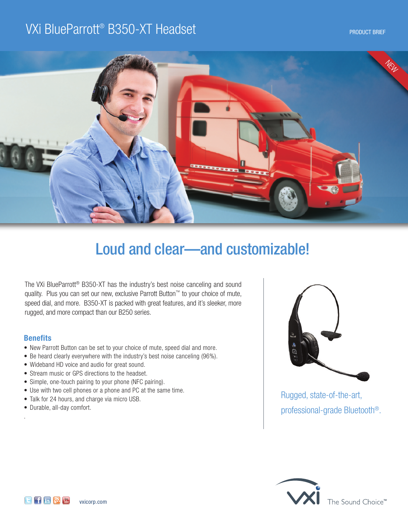# VXi BlueParrott® B350-XT Headset and the contract of the contract product brief



# Loud and clear—and customizable!

The VXi BlueParrott ® B350-XT has the industry's best noise canceling and sound quality. Plus you can set our new, exclusive Parrott Button™ to your choice of mute, speed dial, and more. B350-XT is packed with great features, and it's sleeker, more rugged, and more compact than our B250 series.

## **Benefits**

.

- New Parrott Button can be set to your choice of mute, speed dial and more.
- Be heard clearly everywhere with the industry's best noise canceling (96%).
- Wideband HD voice and audio for great sound.
- Stream music or GPS directions to the headset.
- Simple, one-touch pairing to your phone (NFC pairing).

[vxicorp.com](http://www.vxicorp.com)

- Use with two cell phones or a phone and PC at the same time.
- Talk for 24 hours, and charge via micro USB.
- Durable, all-day comfort.

 $F$  in  $\mathbb{R}$   $\mathbb{R}$ 



Rugged, state-of-the-art, professional-grade Bluetooth®.



The Sound Choice™